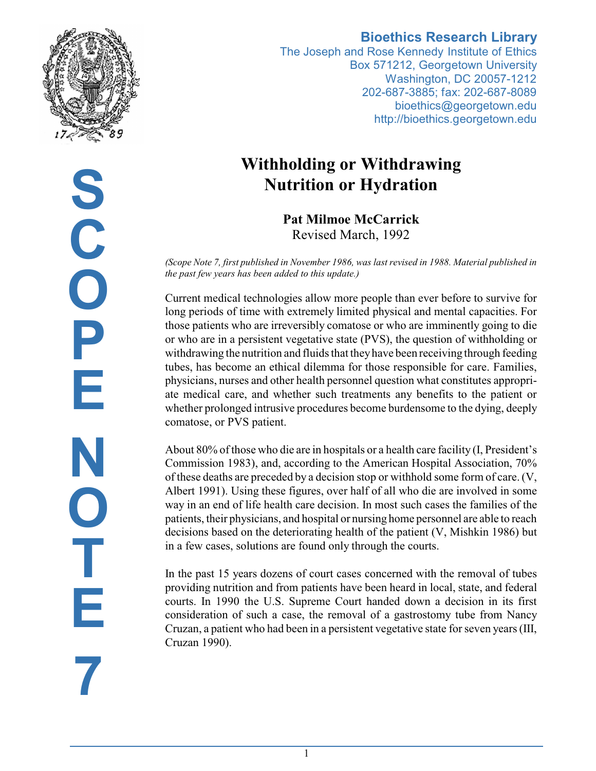

# **S C O P E N O T E 7**

## **Bioethics Research Library**

The Joseph and Rose Kennedy Institute of Ethics Box 571212, Georgetown University Washington, DC 20057-1212 202-687-3885; fax: 202-687-8089 bioethics@georgetown.edu http://bioethics.georgetown.edu

# **Withholding or Withdrawing Nutrition or Hydration**

**Pat Milmoe McCarrick** Revised March, 1992

*(Scope Note 7, first published in November 1986, was last revised in 1988. Material published in the past few years has been added to this update.)*

Current medical technologies allow more people than ever before to survive for long periods of time with extremely limited physical and mental capacities. For those patients who are irreversibly comatose or who are imminently going to die or who are in a persistent vegetative state (PVS), the question of withholding or withdrawing the nutrition and fluids that theyhave been receiving through feeding tubes, has become an ethical dilemma for those responsible for care. Families, physicians, nurses and other health personnel question what constitutes appropriate medical care, and whether such treatments any benefits to the patient or whether prolonged intrusive procedures become burdensome to the dying, deeply comatose, or PVS patient.

About 80% of those who die are in hospitals or a health care facility (I, President's Commission 1983), and, according to the American Hospital Association, 70% of these deaths are preceded by a decision stop or withhold some form of care. (V, Albert 1991). Using these figures, over half of all who die are involved in some way in an end of life health care decision. In most such cases the families of the patients, their physicians, and hospital or nursing home personnel are able to reach decisions based on the deteriorating health of the patient (V, Mishkin 1986) but in a few cases, solutions are found only through the courts.

In the past 15 years dozens of court cases concerned with the removal of tubes providing nutrition and from patients have been heard in local, state, and federal courts. In 1990 the U.S. Supreme Court handed down a decision in its first consideration of such a case, the removal of a gastrostomy tube from Nancy Cruzan, a patient who had been in a persistent vegetative state for seven years (III, Cruzan 1990).

1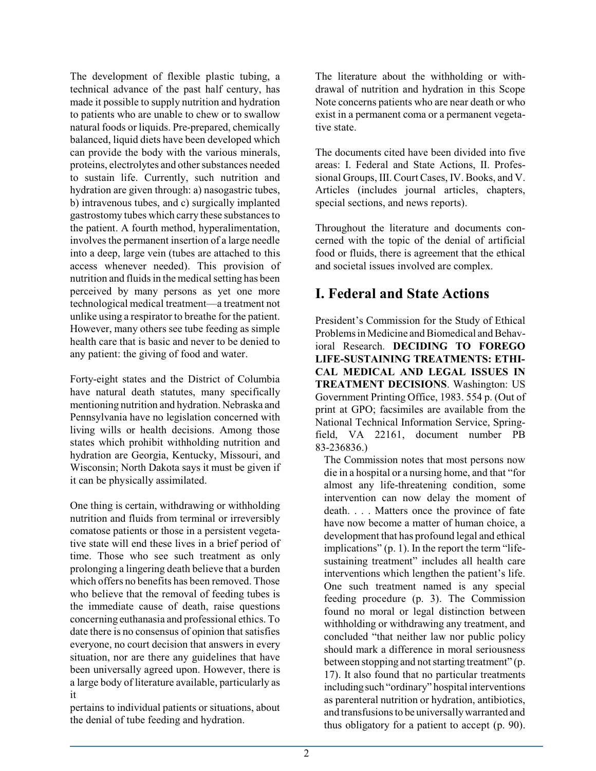The development of flexible plastic tubing, a technical advance of the past half century, has made it possible to supply nutrition and hydration to patients who are unable to chew or to swallow natural foods or liquids. Pre-prepared, chemically balanced, liquid diets have been developed which can provide the body with the various minerals, proteins, electrolytes and other substances needed to sustain life. Currently, such nutrition and hydration are given through: a) nasogastric tubes, b) intravenous tubes, and c) surgically implanted gastrostomy tubes which carry these substances to the patient. A fourth method, hyperalimentation, involves the permanent insertion of a large needle into a deep, large vein (tubes are attached to this access whenever needed). This provision of nutrition and fluids in the medical setting has been perceived by many persons as yet one more technological medical treatment—a treatment not unlike using a respirator to breathe for the patient. However, many others see tube feeding as simple health care that is basic and never to be denied to any patient: the giving of food and water.

Forty-eight states and the District of Columbia have natural death statutes, many specifically mentioning nutrition and hydration. Nebraska and Pennsylvania have no legislation concerned with living wills or health decisions. Among those states which prohibit withholding nutrition and hydration are Georgia, Kentucky, Missouri, and Wisconsin; North Dakota says it must be given if it can be physically assimilated.

One thing is certain, withdrawing or withholding nutrition and fluids from terminal or irreversibly comatose patients or those in a persistent vegetative state will end these lives in a brief period of time. Those who see such treatment as only prolonging a lingering death believe that a burden which offers no benefits has been removed. Those who believe that the removal of feeding tubes is the immediate cause of death, raise questions concerning euthanasia and professional ethics. To date there is no consensus of opinion that satisfies everyone, no court decision that answers in every situation, nor are there any guidelines that have been universally agreed upon. However, there is a large body of literature available, particularly as it

pertains to individual patients or situations, about the denial of tube feeding and hydration.

The literature about the withholding or withdrawal of nutrition and hydration in this Scope Note concerns patients who are near death or who exist in a permanent coma or a permanent vegetative state.

The documents cited have been divided into five areas: I. Federal and State Actions, II. Professional Groups, III. Court Cases, IV. Books, and V. Articles (includes journal articles, chapters, special sections, and news reports).

Throughout the literature and documents concerned with the topic of the denial of artificial food or fluids, there is agreement that the ethical and societal issues involved are complex.

## **I. Federal and State Actions**

President's Commission for the Study of Ethical Problems in Medicine and Biomedical and Behavioral Research. **DECIDING TO FOREGO LIFE-SUSTAINING TREATMENTS: ETHI-CAL MEDICAL AND LEGAL ISSUES IN TREATMENT DECISIONS**. Washington: US Government Printing Office, 1983. 554 p. (Out of print at GPO; facsimiles are available from the National Technical Information Service, Springfield, VA 22161, document number PB 83-236836.)

The Commission notes that most persons now die in a hospital or a nursing home, and that "for almost any life-threatening condition, some intervention can now delay the moment of death. . . . Matters once the province of fate have now become a matter of human choice, a development that has profound legal and ethical implications" (p. 1). In the report the term "lifesustaining treatment" includes all health care interventions which lengthen the patient's life. One such treatment named is any special feeding procedure (p. 3). The Commission found no moral or legal distinction between withholding or withdrawing any treatment, and concluded "that neither law nor public policy should mark a difference in moral seriousness between stopping and not starting treatment" (p. 17). It also found that no particular treatments includingsuch "ordinary" hospital interventions as parenteral nutrition or hydration, antibiotics, and transfusions to be universallywarranted and thus obligatory for a patient to accept (p. 90).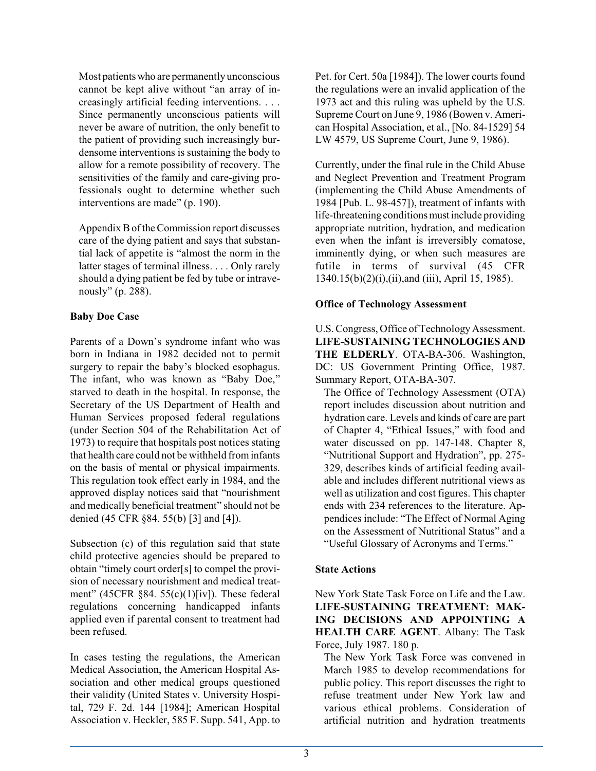Most patientswho are permanently unconscious cannot be kept alive without "an array of increasingly artificial feeding interventions. . . . Since permanently unconscious patients will never be aware of nutrition, the only benefit to the patient of providing such increasingly burdensome interventions is sustaining the body to allow for a remote possibility of recovery. The sensitivities of the family and care-giving professionals ought to determine whether such interventions are made" (p. 190).

Appendix B of the Commission report discusses care of the dying patient and says that substantial lack of appetite is "almost the norm in the latter stages of terminal illness. . . . Only rarely should a dying patient be fed by tube or intravenously" (p. 288).

## **Baby Doe Case**

Parents of a Down's syndrome infant who was born in Indiana in 1982 decided not to permit surgery to repair the baby's blocked esophagus. The infant, who was known as "Baby Doe," starved to death in the hospital. In response, the Secretary of the US Department of Health and Human Services proposed federal regulations (under Section 504 of the Rehabilitation Act of 1973) to require that hospitals post notices stating that health care could not be withheld frominfants on the basis of mental or physical impairments. This regulation took effect early in 1984, and the approved display notices said that "nourishment and medically beneficial treatment" should not be denied (45 CFR §84. 55(b) [3] and [4]).

Subsection (c) of this regulation said that state child protective agencies should be prepared to obtain "timely court order[s] to compel the provision of necessary nourishment and medical treatment" (45CFR §84. 55(c)(1)[iv]). These federal regulations concerning handicapped infants applied even if parental consent to treatment had been refused.

In cases testing the regulations, the American Medical Association, the American Hospital Association and other medical groups questioned their validity (United States v. University Hospital, 729 F. 2d. 144 [1984]; American Hospital Association v. Heckler, 585 F. Supp. 541, App. to Pet. for Cert. 50a [1984]). The lower courts found the regulations were an invalid application of the 1973 act and this ruling was upheld by the U.S. Supreme Court on June 9, 1986 (Bowen v. American Hospital Association, et al., [No. 84-1529] 54 LW 4579, US Supreme Court, June 9, 1986).

Currently, under the final rule in the Child Abuse and Neglect Prevention and Treatment Program (implementing the Child Abuse Amendments of 1984 [Pub. L. 98-457]), treatment of infants with life-threatening conditions must include providing appropriate nutrition, hydration, and medication even when the infant is irreversibly comatose, imminently dying, or when such measures are futile in terms of survival (45 CFR 1340.15(b)(2)(i),(ii),and (iii), April 15, 1985).

## **Office of Technology Assessment**

U.S. Congress, Office of Technology Assessment. **LIFE-SUSTAINING TECHNOLOGIES AND THE ELDERLY**. OTA-BA-306. Washington, DC: US Government Printing Office, 1987. Summary Report, OTA-BA-307.

The Office of Technology Assessment (OTA) report includes discussion about nutrition and hydration care. Levels and kinds of care are part of Chapter 4, "Ethical Issues," with food and water discussed on pp. 147-148. Chapter 8, "Nutritional Support and Hydration", pp. 275- 329, describes kinds of artificial feeding available and includes different nutritional views as well as utilization and cost figures. This chapter ends with 234 references to the literature. Appendices include: "The Effect of Normal Aging on the Assessment of Nutritional Status" and a "Useful Glossary of Acronyms and Terms."

## **State Actions**

New York State Task Force on Life and the Law. **LIFE-SUSTAINING TREATMENT: MAK-ING DECISIONS AND APPOINTING A HEALTH CARE AGENT**. Albany: The Task Force, July 1987. 180 p.

The New York Task Force was convened in March 1985 to develop recommendations for public policy. This report discusses the right to refuse treatment under New York law and various ethical problems. Consideration of artificial nutrition and hydration treatments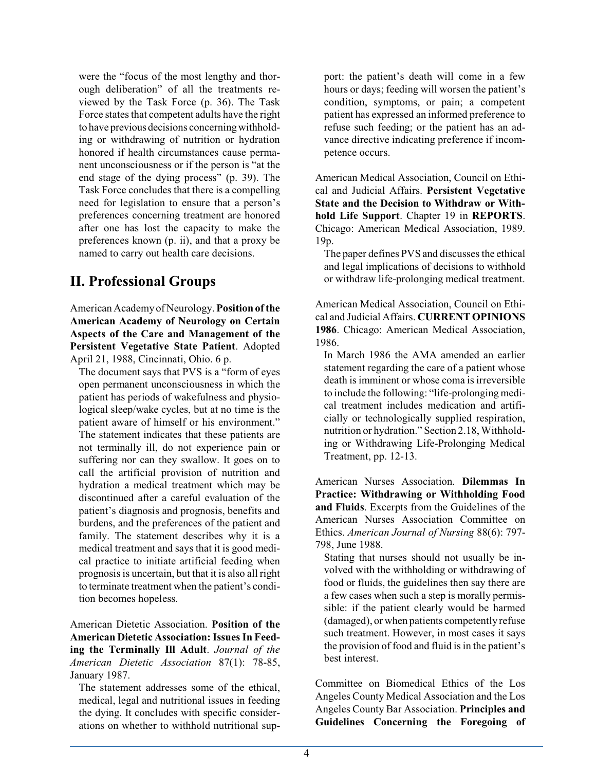were the "focus of the most lengthy and thorough deliberation" of all the treatments reviewed by the Task Force (p. 36). The Task Force states that competent adults have the right to have previous decisions concerningwithholding or withdrawing of nutrition or hydration honored if health circumstances cause permanent unconsciousness or if the person is "at the end stage of the dying process" (p. 39). The Task Force concludes that there is a compelling need for legislation to ensure that a person's preferences concerning treatment are honored after one has lost the capacity to make the preferences known (p. ii), and that a proxy be named to carry out health care decisions.

## **II. Professional Groups**

American Academy of Neurology. **Position of the American Academy of Neurology on Certain Aspects of the Care and Management of the Persistent Vegetative State Patient**. Adopted April 21, 1988, Cincinnati, Ohio. 6 p.

The document says that PVS is a "form of eyes open permanent unconsciousness in which the patient has periods of wakefulness and physiological sleep/wake cycles, but at no time is the patient aware of himself or his environment." The statement indicates that these patients are not terminally ill, do not experience pain or suffering nor can they swallow. It goes on to call the artificial provision of nutrition and hydration a medical treatment which may be discontinued after a careful evaluation of the patient's diagnosis and prognosis, benefits and burdens, and the preferences of the patient and family. The statement describes why it is a medical treatment and says that it is good medical practice to initiate artificial feeding when prognosis is uncertain, but that it is also all right to terminate treatment when the patient's condition becomes hopeless.

American Dietetic Association. **Position of the American Dietetic Association: Issues In Feeding the Terminally Ill Adult**. *Journal of the American Dietetic Association* 87(1): 78-85, January 1987.

The statement addresses some of the ethical, medical, legal and nutritional issues in feeding the dying. It concludes with specific considerations on whether to withhold nutritional sup-

port: the patient's death will come in a few hours or days; feeding will worsen the patient's condition, symptoms, or pain; a competent patient has expressed an informed preference to refuse such feeding; or the patient has an advance directive indicating preference if incompetence occurs.

American Medical Association, Council on Ethical and Judicial Affairs. **Persistent Vegetative State and the Decision to Withdraw or Withhold Life Support**. Chapter 19 in **REPORTS**. Chicago: American Medical Association, 1989. 19p.

The paper defines PVS and discusses the ethical and legal implications of decisions to withhold or withdraw life-prolonging medical treatment.

American Medical Association, Council on Ethical and Judicial Affairs. **CURRENT OPINIONS 1986**. Chicago: American Medical Association, 1986.

In March 1986 the AMA amended an earlier statement regarding the care of a patient whose death is imminent or whose coma is irreversible to include the following: "life-prolonging medical treatment includes medication and artificially or technologically supplied respiration, nutrition or hydration." Section 2.18, Withholding or Withdrawing Life-Prolonging Medical Treatment, pp. 12-13.

American Nurses Association. **Dilemmas In Practice: Withdrawing or Withholding Food and Fluids**. Excerpts from the Guidelines of the American Nurses Association Committee on Ethics. *American Journal of Nursing* 88(6): 797- 798, June 1988.

Stating that nurses should not usually be involved with the withholding or withdrawing of food or fluids, the guidelines then say there are a few cases when such a step is morally permissible: if the patient clearly would be harmed (damaged), or when patients competently refuse such treatment. However, in most cases it says the provision of food and fluid is in the patient's best interest.

Committee on Biomedical Ethics of the Los Angeles County Medical Association and the Los Angeles County Bar Association. **Principles and Guidelines Concerning the Foregoing of**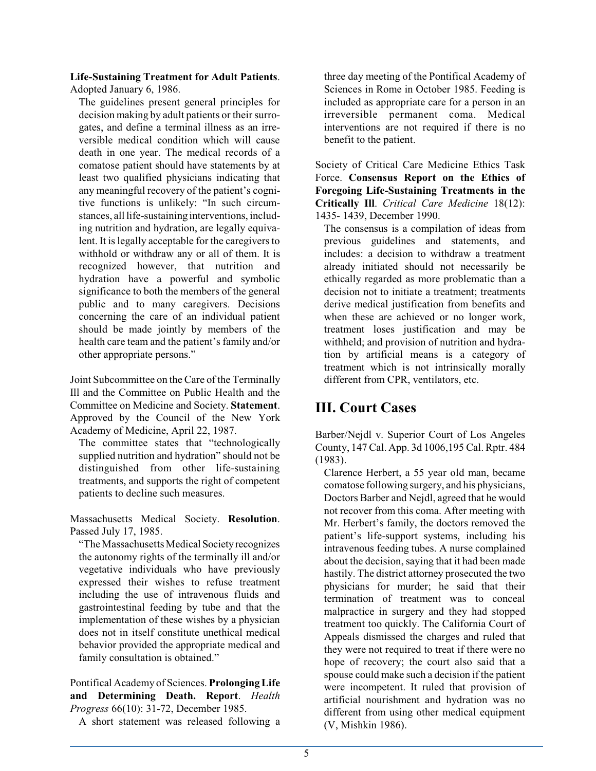#### **Life-Sustaining Treatment for Adult Patients**. Adopted January 6, 1986.

The guidelines present general principles for decision making by adult patients or their surrogates, and define a terminal illness as an irreversible medical condition which will cause death in one year. The medical records of a comatose patient should have statements by at least two qualified physicians indicating that any meaningful recovery of the patient's cognitive functions is unlikely: "In such circumstances, all life-sustaining interventions, including nutrition and hydration, are legally equivalent. It is legally acceptable for the caregivers to withhold or withdraw any or all of them. It is recognized however, that nutrition and hydration have a powerful and symbolic significance to both the members of the general public and to many caregivers. Decisions concerning the care of an individual patient should be made jointly by members of the health care team and the patient's family and/or other appropriate persons."

Joint Subcommittee on the Care of the Terminally Ill and the Committee on Public Health and the Committee on Medicine and Society. **Statement**. Approved by the Council of the New York Academy of Medicine, April 22, 1987.

The committee states that "technologically supplied nutrition and hydration" should not be distinguished from other life-sustaining treatments, and supports the right of competent patients to decline such measures.

Massachusetts Medical Society. **Resolution**. Passed July 17, 1985.

"The Massachusetts Medical Society recognizes" the autonomy rights of the terminally ill and/or vegetative individuals who have previously expressed their wishes to refuse treatment including the use of intravenous fluids and gastrointestinal feeding by tube and that the implementation of these wishes by a physician does not in itself constitute unethical medical behavior provided the appropriate medical and family consultation is obtained."

Pontifical Academy of Sciences. **Prolonging Life and Determining Death. Report**. *Health Progress* 66(10): 31-72, December 1985.

A short statement was released following a

three day meeting of the Pontifical Academy of Sciences in Rome in October 1985. Feeding is included as appropriate care for a person in an irreversible permanent coma. Medical interventions are not required if there is no benefit to the patient.

Society of Critical Care Medicine Ethics Task Force. **Consensus Report on the Ethics of Foregoing Life-Sustaining Treatments in the Critically Ill**. *Critical Care Medicine* 18(12): 1435- 1439, December 1990.

The consensus is a compilation of ideas from previous guidelines and statements, and includes: a decision to withdraw a treatment already initiated should not necessarily be ethically regarded as more problematic than a decision not to initiate a treatment; treatments derive medical justification from benefits and when these are achieved or no longer work, treatment loses justification and may be withheld; and provision of nutrition and hydration by artificial means is a category of treatment which is not intrinsically morally different from CPR, ventilators, etc.

# **III. Court Cases**

Barber/Nejdl v. Superior Court of Los Angeles County, 147 Cal. App. 3d 1006,195 Cal. Rptr. 484 (1983).

Clarence Herbert, a 55 year old man, became comatose following surgery, and his physicians, Doctors Barber and Nejdl, agreed that he would not recover from this coma. After meeting with Mr. Herbert's family, the doctors removed the patient's life-support systems, including his intravenous feeding tubes. A nurse complained about the decision, saying that it had been made hastily. The district attorney prosecuted the two physicians for murder; he said that their termination of treatment was to conceal malpractice in surgery and they had stopped treatment too quickly. The California Court of Appeals dismissed the charges and ruled that they were not required to treat if there were no hope of recovery; the court also said that a spouse could make such a decision if the patient were incompetent. It ruled that provision of artificial nourishment and hydration was no different from using other medical equipment (V, Mishkin 1986).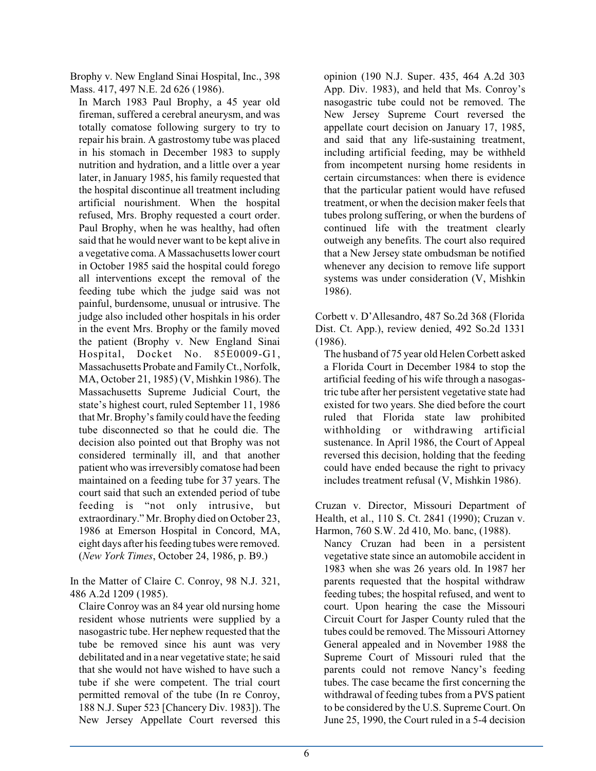Brophy v. New England Sinai Hospital, Inc., 398 Mass. 417, 497 N.E. 2d 626 (1986).

In March 1983 Paul Brophy, a 45 year old fireman, suffered a cerebral aneurysm, and was totally comatose following surgery to try to repair his brain. A gastrostomy tube was placed in his stomach in December 1983 to supply nutrition and hydration, and a little over a year later, in January 1985, his family requested that the hospital discontinue all treatment including artificial nourishment. When the hospital refused, Mrs. Brophy requested a court order. Paul Brophy, when he was healthy, had often said that he would never want to be kept alive in a vegetative coma. A Massachusetts lower court in October 1985 said the hospital could forego all interventions except the removal of the feeding tube which the judge said was not painful, burdensome, unusual or intrusive. The judge also included other hospitals in his order in the event Mrs. Brophy or the family moved the patient (Brophy v. New England Sinai Hospital, Docket No. 85E0009-G1, Massachusetts Probate and FamilyCt., Norfolk, MA, October 21, 1985) (V, Mishkin 1986). The Massachusetts Supreme Judicial Court, the state's highest court, ruled September 11, 1986 that Mr. Brophy's family could have the feeding tube disconnected so that he could die. The decision also pointed out that Brophy was not considered terminally ill, and that another patient who was irreversibly comatose had been maintained on a feeding tube for 37 years. The court said that such an extended period of tube feeding is "not only intrusive, but extraordinary." Mr. Brophy died on October 23, 1986 at Emerson Hospital in Concord, MA, eight days after his feeding tubes were removed. (*New York Times*, October 24, 1986, p. B9.)

In the Matter of Claire C. Conroy, 98 N.J. 321, 486 A.2d 1209 (1985).

Claire Conroy was an 84 year old nursing home resident whose nutrients were supplied by a nasogastric tube. Her nephew requested that the tube be removed since his aunt was very debilitated and in a near vegetative state; he said that she would not have wished to have such a tube if she were competent. The trial court permitted removal of the tube (In re Conroy, 188 N.J. Super 523 [Chancery Div. 1983]). The New Jersey Appellate Court reversed this opinion (190 N.J. Super. 435, 464 A.2d 303 App. Div. 1983), and held that Ms. Conroy's nasogastric tube could not be removed. The New Jersey Supreme Court reversed the appellate court decision on January 17, 1985, and said that any life-sustaining treatment, including artificial feeding, may be withheld from incompetent nursing home residents in certain circumstances: when there is evidence that the particular patient would have refused treatment, or when the decision maker feels that tubes prolong suffering, or when the burdens of continued life with the treatment clearly outweigh any benefits. The court also required that a New Jersey state ombudsman be notified whenever any decision to remove life support systems was under consideration (V, Mishkin 1986).

Corbett v. D'Allesandro, 487 So.2d 368 (Florida Dist. Ct. App.), review denied, 492 So.2d 1331 (1986).

The husband of 75 year old Helen Corbett asked a Florida Court in December 1984 to stop the artificial feeding of his wife through a nasogastric tube after her persistent vegetative state had existed for two years. She died before the court ruled that Florida state law prohibited withholding or withdrawing artificial sustenance. In April 1986, the Court of Appeal reversed this decision, holding that the feeding could have ended because the right to privacy includes treatment refusal (V, Mishkin 1986).

Cruzan v. Director, Missouri Department of Health, et al., 110 S. Ct. 2841 (1990); Cruzan v. Harmon, 760 S.W. 2d 410, Mo. banc, (1988).

Nancy Cruzan had been in a persistent vegetative state since an automobile accident in 1983 when she was 26 years old. In 1987 her parents requested that the hospital withdraw feeding tubes; the hospital refused, and went to court. Upon hearing the case the Missouri Circuit Court for Jasper County ruled that the tubes could be removed. The Missouri Attorney General appealed and in November 1988 the Supreme Court of Missouri ruled that the parents could not remove Nancy's feeding tubes. The case became the first concerning the withdrawal of feeding tubes from a PVS patient to be considered by the U.S. Supreme Court. On June 25, 1990, the Court ruled in a 5-4 decision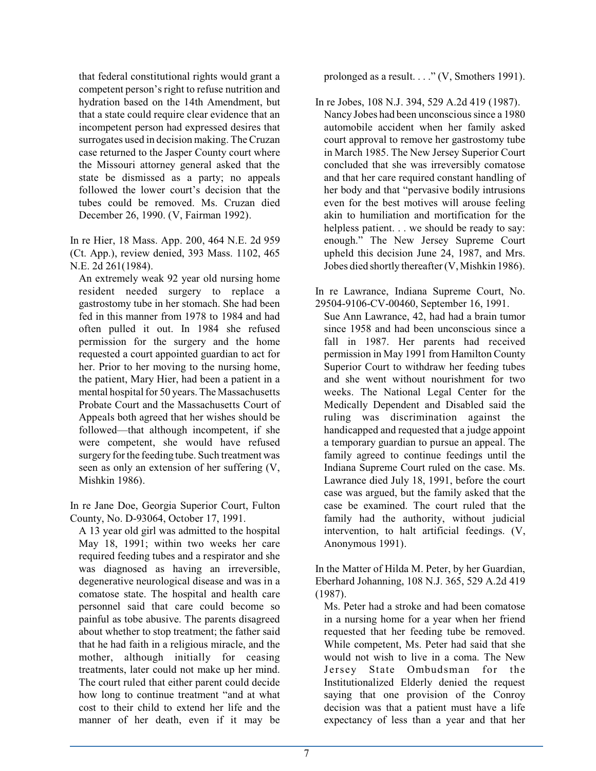that federal constitutional rights would grant a competent person's right to refuse nutrition and hydration based on the 14th Amendment, but that a state could require clear evidence that an incompetent person had expressed desires that surrogates used in decision making. The Cruzan case returned to the Jasper County court where the Missouri attorney general asked that the state be dismissed as a party; no appeals followed the lower court's decision that the tubes could be removed. Ms. Cruzan died December 26, 1990. (V, Fairman 1992).

In re Hier, 18 Mass. App. 200, 464 N.E. 2d 959 (Ct. App.), review denied, 393 Mass. 1102, 465 N.E. 2d 261(1984).

An extremely weak 92 year old nursing home resident needed surgery to replace a gastrostomy tube in her stomach. She had been fed in this manner from 1978 to 1984 and had often pulled it out. In 1984 she refused permission for the surgery and the home requested a court appointed guardian to act for her. Prior to her moving to the nursing home, the patient, Mary Hier, had been a patient in a mental hospital for 50 years. The Massachusetts Probate Court and the Massachusetts Court of Appeals both agreed that her wishes should be followed—that although incompetent, if she were competent, she would have refused surgery forthe feeding tube. Such treatment was seen as only an extension of her suffering (V, Mishkin 1986).

In re Jane Doe, Georgia Superior Court, Fulton County, No. D-93064, October 17, 1991.

A 13 year old girl was admitted to the hospital May 18, 1991; within two weeks her care required feeding tubes and a respirator and she was diagnosed as having an irreversible, degenerative neurological disease and was in a comatose state. The hospital and health care personnel said that care could become so painful as tobe abusive. The parents disagreed about whether to stop treatment; the father said that he had faith in a religious miracle, and the mother, although initially for ceasing treatments, later could not make up her mind. The court ruled that either parent could decide how long to continue treatment "and at what cost to their child to extend her life and the manner of her death, even if it may be

prolonged as a result. . . ." (V, Smothers 1991).

In re Jobes, 108 N.J. 394, 529 A.2d 419 (1987). Nancy Jobes had been unconscious since a 1980 automobile accident when her family asked court approval to remove her gastrostomy tube in March 1985. The New Jersey Superior Court concluded that she was irreversibly comatose and that her care required constant handling of her body and that "pervasive bodily intrusions even for the best motives will arouse feeling akin to humiliation and mortification for the helpless patient. . . we should be ready to say: enough." The New Jersey Supreme Court upheld this decision June 24, 1987, and Mrs. Jobes died shortly thereafter(V, Mishkin 1986).

In re Lawrance, Indiana Supreme Court, No. 29504-9106-CV-00460, September 16, 1991.

Sue Ann Lawrance, 42, had had a brain tumor since 1958 and had been unconscious since a fall in 1987. Her parents had received permission in May 1991 from Hamilton County Superior Court to withdraw her feeding tubes and she went without nourishment for two weeks. The National Legal Center for the Medically Dependent and Disabled said the ruling was discrimination against the handicapped and requested that a judge appoint a temporary guardian to pursue an appeal. The family agreed to continue feedings until the Indiana Supreme Court ruled on the case. Ms. Lawrance died July 18, 1991, before the court case was argued, but the family asked that the case be examined. The court ruled that the family had the authority, without judicial intervention, to halt artificial feedings. (V, Anonymous 1991).

In the Matter of Hilda M. Peter, by her Guardian, Eberhard Johanning, 108 N.J. 365, 529 A.2d 419 (1987).

Ms. Peter had a stroke and had been comatose in a nursing home for a year when her friend requested that her feeding tube be removed. While competent, Ms. Peter had said that she would not wish to live in a coma. The New Jersey State Ombudsman for the Institutionalized Elderly denied the request saying that one provision of the Conroy decision was that a patient must have a life expectancy of less than a year and that her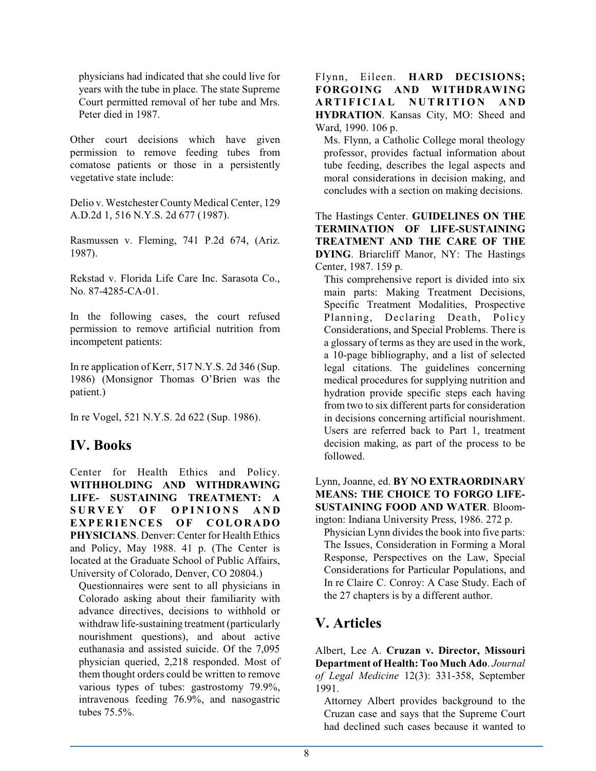physicians had indicated that she could live for years with the tube in place. The state Supreme Court permitted removal of her tube and Mrs. Peter died in 1987.

Other court decisions which have given permission to remove feeding tubes from comatose patients or those in a persistently vegetative state include:

Delio v. Westchester County Medical Center, 129 A.D.2d 1, 516 N.Y.S. 2d 677 (1987).

Rasmussen v. Fleming, 741 P.2d 674, (Ariz. 1987).

Rekstad v. Florida Life Care Inc. Sarasota Co., No. 87-4285-CA-01.

In the following cases, the court refused permission to remove artificial nutrition from incompetent patients:

In re application of Kerr, 517 N.Y.S. 2d 346 (Sup. 1986) (Monsignor Thomas O'Brien was the patient.)

In re Vogel, 521 N.Y.S. 2d 622 (Sup. 1986).

## **IV. Books**

Center for Health Ethics and Policy. **WITHHOLDING AND WITHDRAWING LIFE- SUSTAINING TREATMENT: A**  $S \cup R \vee F$   $S \cup F$   $S \cup F$   $S \cup R \vee F$   $S \cup R \vee F$   $S \cup R \vee F$ **E X PE R IE N CES OF COLORADO PHYSICIANS**. Denver: Center for Health Ethics and Policy, May 1988. 41 p. (The Center is located at the Graduate School of Public Affairs, University of Colorado, Denver, CO 20804.)

Questionnaires were sent to all physicians in Colorado asking about their familiarity with advance directives, decisions to withhold or withdraw life-sustaining treatment (particularly nourishment questions), and about active euthanasia and assisted suicide. Of the 7,095 physician queried, 2,218 responded. Most of them thought orders could be written to remove various types of tubes: gastrostomy 79.9%, intravenous feeding 76.9%, and nasogastric tubes 75.5%.

Flynn, Eileen. **HARD DECISIONS; FORGOING AND WITHDRAWING A R TI F I C I A L N U T R I TI O N A N D HYDRATION**. Kansas City, MO: Sheed and Ward, 1990. 106 p.

Ms. Flynn, a Catholic College moral theology professor, provides factual information about tube feeding, describes the legal aspects and moral considerations in decision making, and concludes with a section on making decisions.

The Hastings Center. **GUIDELINES ON THE TERMINATION OF LIFE-SUSTAINING TREATMENT AND THE CARE OF THE DYING**. Briarcliff Manor, NY: The Hastings Center, 1987. 159 p.

This comprehensive report is divided into six main parts: Making Treatment Decisions, Specific Treatment Modalities, Prospective Planning, Declaring Death, Policy Considerations, and Special Problems. There is a glossary of terms as they are used in the work, a 10-page bibliography, and a list of selected legal citations. The guidelines concerning medical procedures for supplying nutrition and hydration provide specific steps each having from two to six different parts for consideration in decisions concerning artificial nourishment. Users are referred back to Part 1, treatment decision making, as part of the process to be followed.

Lynn, Joanne, ed. **BY NO EXTRAORDINARY MEANS: THE CHOICE TO FORGO LIFE-SUSTAINING FOOD AND WATER**. Bloomington: Indiana University Press, 1986. 272 p.

Physician Lynn divides the book into five parts: The Issues, Consideration in Forming a Moral Response, Perspectives on the Law, Special Considerations for Particular Populations, and In re Claire C. Conroy: A Case Study. Each of the 27 chapters is by a different author.

## **V. Articles**

Albert, Lee A. **Cruzan v. Director, Missouri Department of Health: Too Much Ado**. *Journal of Legal Medicine* 12(3): 331-358, September 1991.

Attorney Albert provides background to the Cruzan case and says that the Supreme Court had declined such cases because it wanted to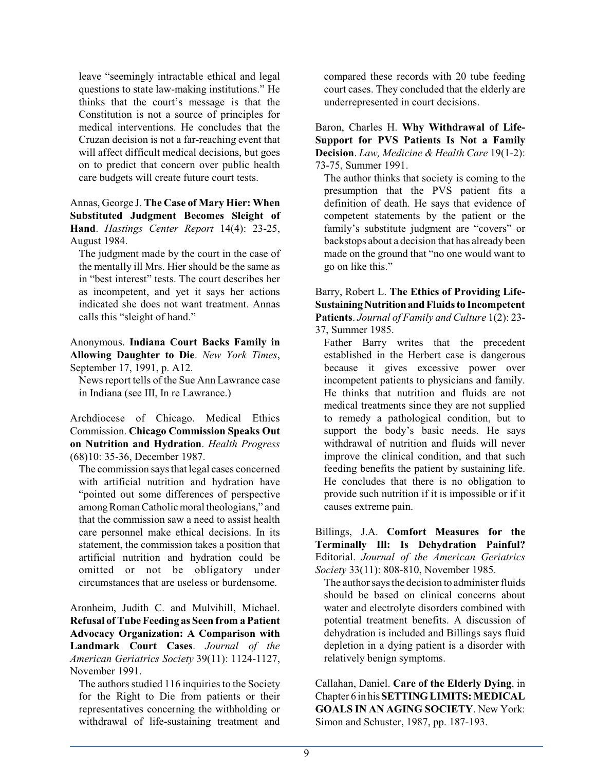leave "seemingly intractable ethical and legal questions to state law-making institutions." He thinks that the court's message is that the Constitution is not a source of principles for medical interventions. He concludes that the Cruzan decision is not a far-reaching event that will affect difficult medical decisions, but goes on to predict that concern over public health care budgets will create future court tests.

Annas, George J. **The Case of Mary Hier: When Substituted Judgment Becomes Sleight of Hand**. *Hastings Center Report* 14(4): 23-25, August 1984.

The judgment made by the court in the case of the mentally ill Mrs. Hier should be the same as in "best interest" tests. The court describes her as incompetent, and yet it says her actions indicated she does not want treatment. Annas calls this "sleight of hand."

Anonymous. **Indiana Court Backs Family in Allowing Daughter to Die**. *New York Times*, September 17, 1991, p. A12.

News report tells of the Sue Ann Lawrance case in Indiana (see III, In re Lawrance.)

Archdiocese of Chicago. Medical Ethics Commission. **Chicago Commission Speaks Out on Nutrition and Hydration**. *Health Progress* (68)10: 35-36, December 1987.

The commission says that legal cases concerned with artificial nutrition and hydration have "pointed out some differences of perspective among Roman Catholic moral theologians," and that the commission saw a need to assist health care personnel make ethical decisions. In its statement, the commission takes a position that artificial nutrition and hydration could be omitted or not be obligatory under circumstances that are useless or burdensome.

Aronheim, Judith C. and Mulvihill, Michael. **Refusal of Tube Feeding as Seen from a Patient Advocacy Organization: A Comparison with Landmark Court Cases**. *Journal of the American Geriatrics Society* 39(11): 1124-1127, November 1991.

The authors studied 116 inquiries to the Society for the Right to Die from patients or their representatives concerning the withholding or withdrawal of life-sustaining treatment and

compared these records with 20 tube feeding court cases. They concluded that the elderly are underrepresented in court decisions.

Baron, Charles H. **Why Withdrawal of Life-Support for PVS Patients Is Not a Family Decision**. *Law, Medicine & Health Care* 19(1-2): 73-75, Summer 1991.

The author thinks that society is coming to the presumption that the PVS patient fits a definition of death. He says that evidence of competent statements by the patient or the family's substitute judgment are "covers" or backstops about a decision that has already been made on the ground that "no one would want to go on like this."

Barry, Robert L. **The Ethics of Providing Life-SustainingNutritionand Fluids to Incompetent Patients**. *Journal of Family and Culture* 1(2): 23- 37, Summer 1985.

Father Barry writes that the precedent established in the Herbert case is dangerous because it gives excessive power over incompetent patients to physicians and family. He thinks that nutrition and fluids are not medical treatments since they are not supplied to remedy a pathological condition, but to support the body's basic needs. He says withdrawal of nutrition and fluids will never improve the clinical condition, and that such feeding benefits the patient by sustaining life. He concludes that there is no obligation to provide such nutrition if it is impossible or if it causes extreme pain.

Billings, J.A. **Comfort Measures for the Terminally Ill: Is Dehydration Painful?** Editorial. *Journal of the American Geriatrics Society* 33(11): 808-810, November 1985.

The author says the decision to administer fluids should be based on clinical concerns about water and electrolyte disorders combined with potential treatment benefits. A discussion of dehydration is included and Billings says fluid depletion in a dying patient is a disorder with relatively benign symptoms.

Callahan, Daniel. **Care of the Elderly Dying**, in Chapter 6 in his**SETTING LIMITS:MEDICAL GOALS IN AN AGING SOCIETY**. New York: Simon and Schuster, 1987, pp. 187-193.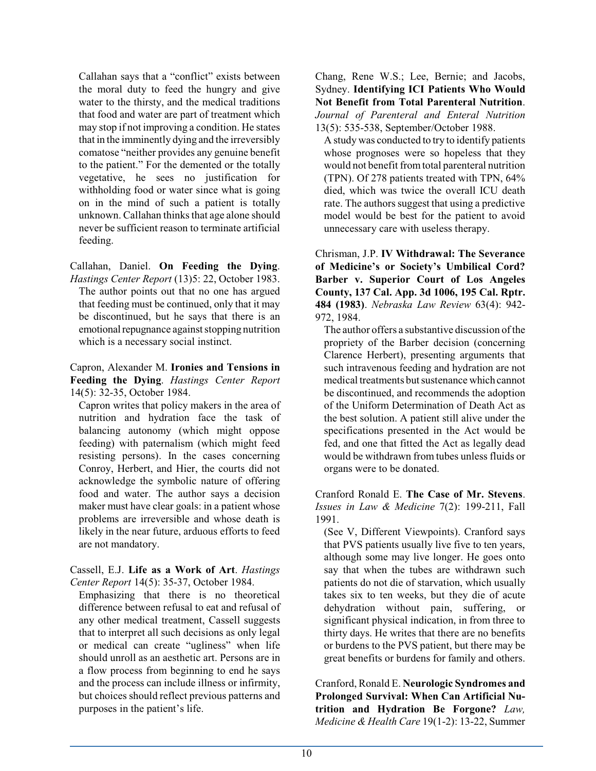Callahan says that a "conflict" exists between the moral duty to feed the hungry and give water to the thirsty, and the medical traditions that food and water are part of treatment which may stop if not improving a condition. He states that in the imminently dying and the irreversibly comatose "neither provides any genuine benefit to the patient." For the demented or the totally vegetative, he sees no justification for withholding food or water since what is going on in the mind of such a patient is totally unknown. Callahan thinks that age alone should never be sufficient reason to terminate artificial feeding.

Callahan, Daniel. **On Feeding the Dying**.

*Hastings Center Report* (13)5: 22, October 1983. The author points out that no one has argued that feeding must be continued, only that it may be discontinued, but he says that there is an emotional repugnance against stopping nutrition which is a necessary social instinct.

## Capron, Alexander M. **Ironies and Tensions in Feeding the Dying**. *Hastings Center Report* 14(5): 32-35, October 1984.

Capron writes that policy makers in the area of nutrition and hydration face the task of balancing autonomy (which might oppose feeding) with paternalism (which might feed resisting persons). In the cases concerning Conroy, Herbert, and Hier, the courts did not acknowledge the symbolic nature of offering food and water. The author says a decision maker must have clear goals: in a patient whose problems are irreversible and whose death is likely in the near future, arduous efforts to feed are not mandatory.

#### Cassell, E.J. **Life as a Work of Art**. *Hastings Center Report* 14(5): 35-37, October 1984.

Emphasizing that there is no theoretical difference between refusal to eat and refusal of any other medical treatment, Cassell suggests that to interpret all such decisions as only legal or medical can create "ugliness" when life should unroll as an aesthetic art. Persons are in a flow process from beginning to end he says and the process can include illness or infirmity, but choices should reflect previous patterns and purposes in the patient's life.

## Chang, Rene W.S.; Lee, Bernie; and Jacobs, Sydney. **Identifying ICI Patients Who Would Not Benefit from Total Parenteral Nutrition**. *Journal of Parenteral and Enteral Nutrition* 13(5): 535-538, September/October 1988.

A study was conducted to try to identify patients whose prognoses were so hopeless that they would not benefit fromtotal parenteral nutrition (TPN). Of 278 patients treated with TPN, 64% died, which was twice the overall ICU death rate. The authors suggest that using a predictive model would be best for the patient to avoid unnecessary care with useless therapy.

Chrisman, J.P. **IV Withdrawal: The Severance of Medicine's or Society's Umbilical Cord? Barber v. Superior Court of Los Angeles County, 137 Cal. App. 3d 1006, 195 Cal. Rptr. 484 (1983)**. *Nebraska Law Review* 63(4): 942- 972, 1984.

The author offers a substantive discussion of the propriety of the Barber decision (concerning Clarence Herbert), presenting arguments that such intravenous feeding and hydration are not medical treatments but sustenance which cannot be discontinued, and recommends the adoption of the Uniform Determination of Death Act as the best solution. A patient still alive under the specifications presented in the Act would be fed, and one that fitted the Act as legally dead would be withdrawn from tubes unless fluids or organs were to be donated.

Cranford Ronald E. **The Case of Mr. Stevens**. *Issues in Law & Medicine* 7(2): 199-211, Fall 1991.

(See V, Different Viewpoints). Cranford says that PVS patients usually live five to ten years, although some may live longer. He goes onto say that when the tubes are withdrawn such patients do not die of starvation, which usually takes six to ten weeks, but they die of acute dehydration without pain, suffering, or significant physical indication, in from three to thirty days. He writes that there are no benefits or burdens to the PVS patient, but there may be great benefits or burdens for family and others.

Cranford, Ronald E. **Neurologic Syndromes and Prolonged Survival: When Can Artificial Nutrition and Hydration Be Forgone?** *Law, Medicine & Health Care* 19(1-2): 13-22, Summer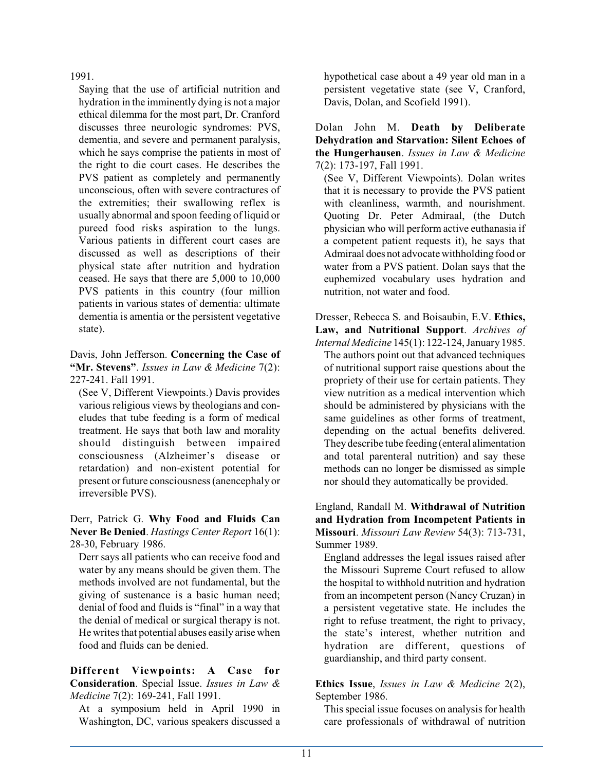1991.

Saying that the use of artificial nutrition and hydration in the imminently dying is not a major ethical dilemma for the most part, Dr. Cranford discusses three neurologic syndromes: PVS, dementia, and severe and permanent paralysis, which he says comprise the patients in most of the right to die court cases. He describes the PVS patient as completely and permanently unconscious, often with severe contractures of the extremities; their swallowing reflex is usually abnormal and spoon feeding of liquid or pureed food risks aspiration to the lungs. Various patients in different court cases are discussed as well as descriptions of their physical state after nutrition and hydration ceased. He says that there are 5,000 to 10,000 PVS patients in this country (four million patients in various states of dementia: ultimate dementia is amentia or the persistent vegetative state).

Davis, John Jefferson. **Concerning the Case of "Mr. Stevens"**. *Issues in Law & Medicine* 7(2): 227-241. Fall 1991.

(See V, Different Viewpoints.) Davis provides various religious views by theologians and coneludes that tube feeding is a form of medical treatment. He says that both law and morality should distinguish between impaired consciousness (Alzheimer's disease or retardation) and non-existent potential for present or future consciousness (anencephaly or irreversible PVS).

## Derr, Patrick G. **Why Food and Fluids Can Never Be Denied**. *Hastings Center Report* 16(1): 28-30, February 1986.

Derr says all patients who can receive food and water by any means should be given them. The methods involved are not fundamental, but the giving of sustenance is a basic human need; denial of food and fluids is "final" in a way that the denial of medical or surgical therapy is not. He writes that potential abuses easily arise when food and fluids can be denied.

## **Different Viewpoints: A Case for Consideration**. Special Issue. *Issues in Law & Medicine* 7(2): 169-241, Fall 1991.

At a symposium held in April 1990 in Washington, DC, various speakers discussed a hypothetical case about a 49 year old man in a persistent vegetative state (see V, Cranford, Davis, Dolan, and Scofield 1991).

Dolan John M. **Death by Deliberate Dehydration and Starvation: Silent Echoes of the Hungerhausen**. *Issues in Law & Medicine* 7(2): 173-197, Fall 1991.

(See V, Different Viewpoints). Dolan writes that it is necessary to provide the PVS patient with cleanliness, warmth, and nourishment. Quoting Dr. Peter Admiraal, (the Dutch physician who will perform active euthanasia if a competent patient requests it), he says that Admiraal does not advocate withholding food or water from a PVS patient. Dolan says that the euphemized vocabulary uses hydration and nutrition, not water and food.

Dresser, Rebecca S. and Boisaubin, E.V. **Ethics, Law, and Nutritional Support**. *Archives of Internal Medicine* 145(1): 122-124, January 1985. The authors point out that advanced techniques of nutritional support raise questions about the propriety of their use for certain patients. They view nutrition as a medical intervention which should be administered by physicians with the same guidelines as other forms of treatment, depending on the actual benefits delivered. They describe tube feeding (enteral alimentation and total parenteral nutrition) and say these methods can no longer be dismissed as simple nor should they automatically be provided.

England, Randall M. **Withdrawal of Nutrition and Hydration from Incompetent Patients in Missouri**. *Missouri Law Review* 54(3): 713-731, Summer 1989.

England addresses the legal issues raised after the Missouri Supreme Court refused to allow the hospital to withhold nutrition and hydration from an incompetent person (Nancy Cruzan) in a persistent vegetative state. He includes the right to refuse treatment, the right to privacy, the state's interest, whether nutrition and hydration are different, questions of guardianship, and third party consent.

**Ethics Issue**, *Issues in Law & Medicine* 2(2), September 1986.

This special issue focuses on analysis for health care professionals of withdrawal of nutrition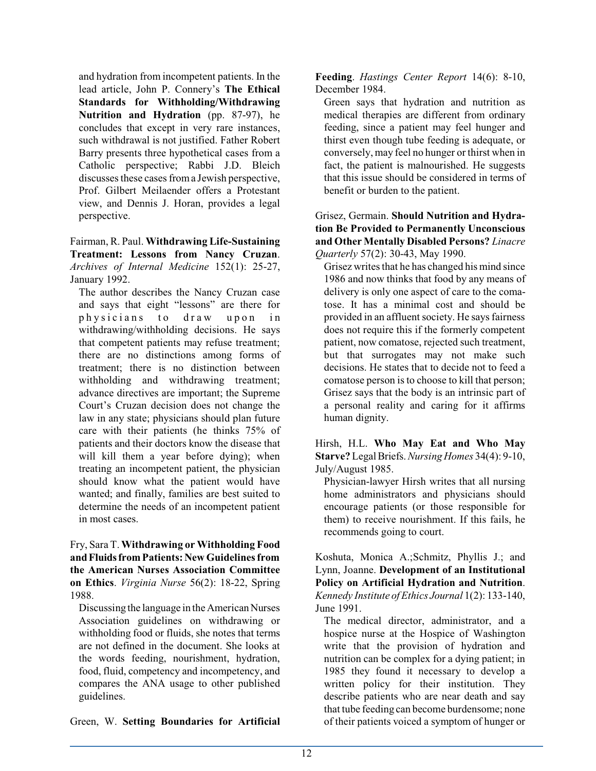and hydration from incompetent patients. In the lead article, John P. Connery's **The Ethical Standards for Withholding/Withdrawing Nutrition and Hydration** (pp. 87-97), he concludes that except in very rare instances, such withdrawal is not justified. Father Robert Barry presents three hypothetical cases from a Catholic perspective; Rabbi J.D. Bleich discusses these cases froma Jewish perspective, Prof. Gilbert Meilaender offers a Protestant view, and Dennis J. Horan, provides a legal perspective.

Fairman, R. Paul. **Withdrawing Life-Sustaining Treatment: Lessons from Nancy Cruzan**. *Archives of Internal Medicine* 152(1): 25-27, January 1992.

The author describes the Nancy Cruzan case and says that eight "lessons" are there for physicians to draw upon in withdrawing/withholding decisions. He says that competent patients may refuse treatment; there are no distinctions among forms of treatment; there is no distinction between withholding and withdrawing treatment; advance directives are important; the Supreme Court's Cruzan decision does not change the law in any state; physicians should plan future care with their patients (he thinks 75% of patients and their doctors know the disease that will kill them a year before dying); when treating an incompetent patient, the physician should know what the patient would have wanted; and finally, families are best suited to determine the needs of an incompetent patient in most cases.

Fry, Sara T. **Withdrawing or Withholding Food andFluidsfrom Patients: New Guidelines from the American Nurses Association Committee on Ethics**. *Virginia Nurse* 56(2): 18-22, Spring 1988.

Discussing the language in the American Nurses Association guidelines on withdrawing or withholding food or fluids, she notes that terms are not defined in the document. She looks at the words feeding, nourishment, hydration, food, fluid, competency and incompetency, and compares the ANA usage to other published guidelines.

Green, W. **Setting Boundaries for Artificial**

**Feeding**. *Hastings Center Report* 14(6): 8-10, December 1984.

Green says that hydration and nutrition as medical therapies are different from ordinary feeding, since a patient may feel hunger and thirst even though tube feeding is adequate, or conversely, may feel no hunger or thirst when in fact, the patient is malnourished. He suggests that this issue should be considered in terms of benefit or burden to the patient.

Grisez, Germain. **Should Nutrition and Hydration Be Provided to Permanently Unconscious and Other Mentally Disabled Persons?** *Linacre Quarterly* 57(2): 30-43, May 1990.

Grisez writes that he has changed his mind since 1986 and now thinks that food by any means of delivery is only one aspect of care to the comatose. It has a minimal cost and should be provided in an affluent society. He says fairness does not require this if the formerly competent patient, now comatose, rejected such treatment, but that surrogates may not make such decisions. He states that to decide not to feed a comatose person is to choose to kill that person; Grisez says that the body is an intrinsic part of a personal reality and caring for it affirms human dignity.

Hirsh, H.L. **Who May Eat and Who May Starve?** LegalBriefs. *Nursing Homes* 34(4): 9-10, July/August 1985.

Physician-lawyer Hirsh writes that all nursing home administrators and physicians should encourage patients (or those responsible for them) to receive nourishment. If this fails, he recommends going to court.

Koshuta, Monica A.;Schmitz, Phyllis J.; and Lynn, Joanne. **Development of an Institutional Policy on Artificial Hydration and Nutrition**. *Kennedy Institute ofEthics Journal* 1(2): 133-140, June 1991.

The medical director, administrator, and a hospice nurse at the Hospice of Washington write that the provision of hydration and nutrition can be complex for a dying patient; in 1985 they found it necessary to develop a written policy for their institution. They describe patients who are near death and say that tube feeding can become burdensome; none of their patients voiced a symptom of hunger or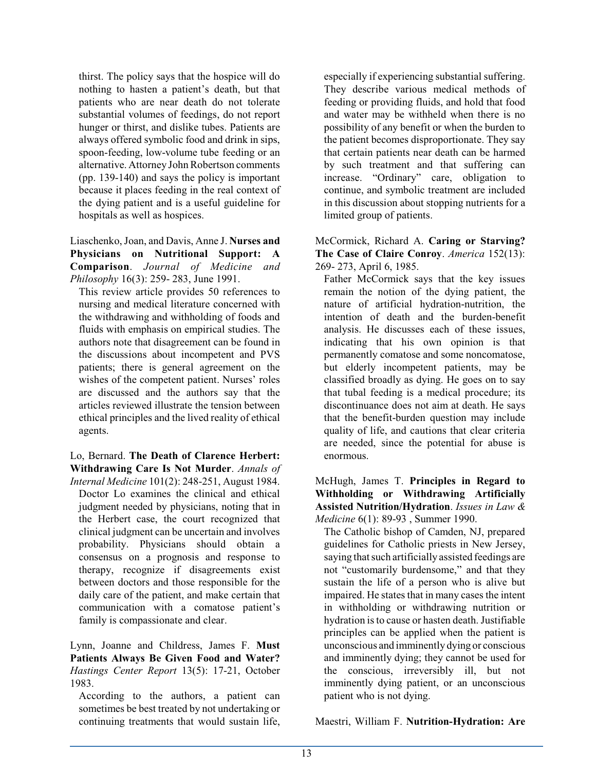thirst. The policy says that the hospice will do nothing to hasten a patient's death, but that patients who are near death do not tolerate substantial volumes of feedings, do not report hunger or thirst, and dislike tubes. Patients are always offered symbolic food and drink in sips, spoon-feeding, low-volume tube feeding or an alternative. Attorney John Robertson comments (pp. 139-140) and says the policy is important because it places feeding in the real context of the dying patient and is a useful guideline for hospitals as well as hospices.

Liaschenko, Joan, and Davis, Anne J. **Nurses and Physicians on Nutritional Support: A Comparison**. *Journal of Medicine and Philosophy* 16(3): 259- 283, June 1991.

This review article provides 50 references to nursing and medical literature concerned with the withdrawing and withholding of foods and fluids with emphasis on empirical studies. The authors note that disagreement can be found in the discussions about incompetent and PVS patients; there is general agreement on the wishes of the competent patient. Nurses' roles are discussed and the authors say that the articles reviewed illustrate the tension between ethical principles and the lived reality of ethical agents.

Lo, Bernard. **The Death of Clarence Herbert: Withdrawing Care Is Not Murder**. *Annals of Internal Medicine* 101(2): 248-251, August 1984.

Doctor Lo examines the clinical and ethical judgment needed by physicians, noting that in the Herbert case, the court recognized that clinical judgment can be uncertain and involves probability. Physicians should obtain a consensus on a prognosis and response to therapy, recognize if disagreements exist between doctors and those responsible for the daily care of the patient, and make certain that communication with a comatose patient's family is compassionate and clear.

Lynn, Joanne and Childress, James F. **Must Patients Always Be Given Food and Water?** *Hastings Center Report* 13(5): 17-21, October 1983.

According to the authors, a patient can sometimes be best treated by not undertaking or continuing treatments that would sustain life,

especially if experiencing substantial suffering. They describe various medical methods of feeding or providing fluids, and hold that food and water may be withheld when there is no possibility of any benefit or when the burden to the patient becomes disproportionate. They say that certain patients near death can be harmed by such treatment and that suffering can increase. "Ordinary" care, obligation to continue, and symbolic treatment are included in this discussion about stopping nutrients for a limited group of patients.

McCormick, Richard A. **Caring or Starving? The Case of Claire Conroy**. *America* 152(13): 269- 273, April 6, 1985.

Father McCormick says that the key issues remain the notion of the dying patient, the nature of artificial hydration-nutrition, the intention of death and the burden-benefit analysis. He discusses each of these issues, indicating that his own opinion is that permanently comatose and some noncomatose, but elderly incompetent patients, may be classified broadly as dying. He goes on to say that tubal feeding is a medical procedure; its discontinuance does not aim at death. He says that the benefit-burden question may include quality of life, and cautions that clear criteria are needed, since the potential for abuse is enormous.

McHugh, James T. **Principles in Regard to Withholding or Withdrawing Artificially Assisted Nutrition/Hydration**. *Issues in Law & Medicine* 6(1): 89-93 , Summer 1990.

The Catholic bishop of Camden, NJ, prepared guidelines for Catholic priests in New Jersey, saying that such artificially assisted feedings are not "customarily burdensome," and that they sustain the life of a person who is alive but impaired. He states that in many cases the intent in withholding or withdrawing nutrition or hydration is to cause or hasten death. Justifiable principles can be applied when the patient is unconscious and imminently dying or conscious and imminently dying; they cannot be used for the conscious, irreversibly ill, but not imminently dying patient, or an unconscious patient who is not dying.

Maestri, William F. **Nutrition-Hydration: Are**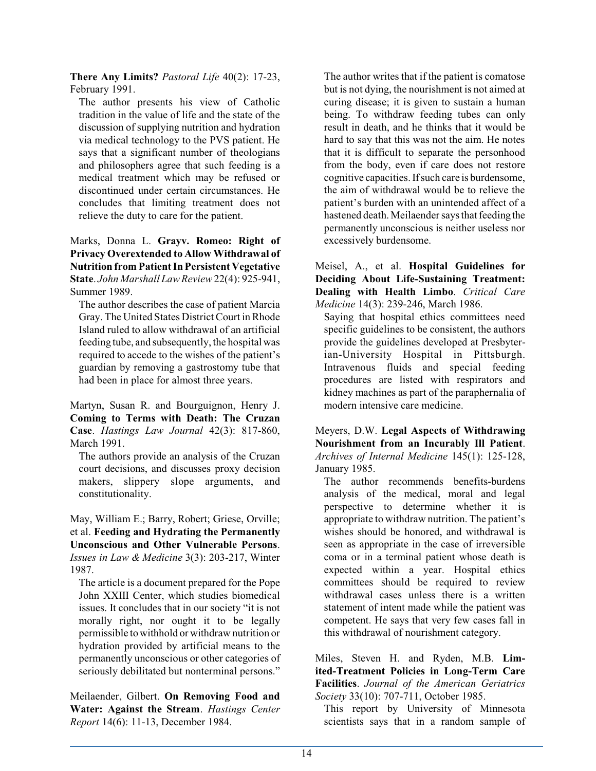**There Any Limits?** *Pastoral Life* 40(2): 17-23, February 1991.

The author presents his view of Catholic tradition in the value of life and the state of the discussion of supplying nutrition and hydration via medical technology to the PVS patient. He says that a significant number of theologians and philosophers agree that such feeding is a medical treatment which may be refused or discontinued under certain circumstances. He concludes that limiting treatment does not relieve the duty to care for the patient.

Marks, Donna L. **Grayv. Romeo: Right of Privacy Overextended to Allow Withdrawal of Nutrition from Patient In Persistent Vegetative State**. *John Marshall Law Review*22(4): 925-941, Summer 1989.

The author describes the case of patient Marcia Gray. The United States District Court in Rhode Island ruled to allow withdrawal of an artificial feeding tube, and subsequently, the hospital was required to accede to the wishes of the patient's guardian by removing a gastrostomy tube that had been in place for almost three years.

Martyn, Susan R. and Bourguignon, Henry J. **Coming to Terms with Death: The Cruzan Case**. *Hastings Law Journal* 42(3): 817-860, March 1991.

The authors provide an analysis of the Cruzan court decisions, and discusses proxy decision makers, slippery slope arguments, and constitutionality.

May, William E.; Barry, Robert; Griese, Orville; et al. **Feeding and Hydrating the Permanently Unconscious and Other Vulnerable Persons**. *Issues in Law & Medicine* 3(3): 203-217, Winter 1987.

The article is a document prepared for the Pope John XXIII Center, which studies biomedical issues. It concludes that in our society "it is not morally right, nor ought it to be legally permissible to withhold or withdraw nutrition or hydration provided by artificial means to the permanently unconscious or other categories of seriously debilitated but nonterminal persons."

Meilaender, Gilbert. **On Removing Food and Water: Against the Stream**. *Hastings Center Report* 14(6): 11-13, December 1984.

The author writes that if the patient is comatose but is not dying, the nourishment is not aimed at curing disease; it is given to sustain a human being. To withdraw feeding tubes can only result in death, and he thinks that it would be hard to say that this was not the aim. He notes that it is difficult to separate the personhood from the body, even if care does not restore cognitive capacities. Ifsuch care is burdensome, the aim of withdrawal would be to relieve the patient's burden with an unintended affect of a hastened death. Meilaender says that feeding the permanently unconscious is neither useless nor excessively burdensome.

Meisel, A., et al. **Hospital Guidelines for Deciding About Life-Sustaining Treatment: Dealing with Health Limbo**. *Critical Care Medicine* 14(3): 239-246, March 1986.

Saying that hospital ethics committees need specific guidelines to be consistent, the authors provide the guidelines developed at Presbyterian-University Hospital in Pittsburgh. Intravenous fluids and special feeding procedures are listed with respirators and kidney machines as part of the paraphernalia of modern intensive care medicine.

Meyers, D.W. **Legal Aspects of Withdrawing Nourishment from an Incurably Ill Patient**. *Archives of Internal Medicine* 145(1): 125-128, January 1985.

The author recommends benefits-burdens analysis of the medical, moral and legal perspective to determine whether it is appropriate to withdraw nutrition. The patient's wishes should be honored, and withdrawal is seen as appropriate in the case of irreversible coma or in a terminal patient whose death is expected within a year. Hospital ethics committees should be required to review withdrawal cases unless there is a written statement of intent made while the patient was competent. He says that very few cases fall in this withdrawal of nourishment category.

Miles, Steven H. and Ryden, M.B. **Limited-Treatment Policies in Long-Term Care Facilities**. *Journal of the American Geriatrics Society* 33(10): 707-711, October 1985.

This report by University of Minnesota scientists says that in a random sample of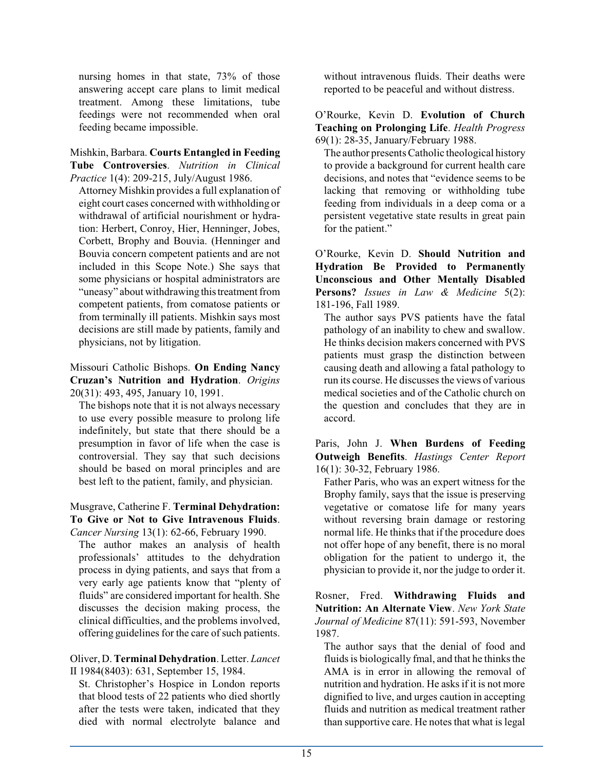nursing homes in that state, 73% of those answering accept care plans to limit medical treatment. Among these limitations, tube feedings were not recommended when oral feeding became impossible.

Mishkin, Barbara. **Courts Entangled in Feeding Tube Controversies**. *Nutrition in Clinical Practice* 1(4): 209-215, July/August 1986.

Attorney Mishkin provides a full explanation of eight court cases concerned with withholding or withdrawal of artificial nourishment or hydration: Herbert, Conroy, Hier, Henninger, Jobes, Corbett, Brophy and Bouvia. (Henninger and Bouvia concern competent patients and are not included in this Scope Note.) She says that some physicians or hospital administrators are "uneasy" about withdrawing this treatment from competent patients, from comatose patients or from terminally ill patients. Mishkin says most decisions are still made by patients, family and physicians, not by litigation.

Missouri Catholic Bishops. **On Ending Nancy Cruzan's Nutrition and Hydration**. *Origins* 20(31): 493, 495, January 10, 1991.

The bishops note that it is not always necessary to use every possible measure to prolong life indefinitely, but state that there should be a presumption in favor of life when the case is controversial. They say that such decisions should be based on moral principles and are best left to the patient, family, and physician.

## Musgrave, Catherine F. **Terminal Dehydration: To Give or Not to Give Intravenous Fluids**. *Cancer Nursing* 13(1): 62-66, February 1990.

The author makes an analysis of health professionals' attitudes to the dehydration process in dying patients, and says that from a very early age patients know that "plenty of fluids" are considered important for health. She discusses the decision making process, the clinical difficulties, and the problems involved, offering guidelines for the care of such patients.

## Oliver, D. **Terminal Dehydration**. Letter. *Lancet* II 1984(8403): 631, September 15, 1984.

St. Christopher's Hospice in London reports that blood tests of 22 patients who died shortly after the tests were taken, indicated that they died with normal electrolyte balance and

without intravenous fluids. Their deaths were reported to be peaceful and without distress.

O'Rourke, Kevin D. **Evolution of Church Teaching on Prolonging Life**. *Health Progress* 69(1): 28-35, January/February 1988.

The author presents Catholic theological history to provide a background for current health care decisions, and notes that "evidence seems to be lacking that removing or withholding tube feeding from individuals in a deep coma or a persistent vegetative state results in great pain for the patient."

O'Rourke, Kevin D. **Should Nutrition and Hydration Be Provided to Permanently Unconscious and Other Mentally Disabled Persons?** *Issues in Law & Medicine* 5(2): 181-196, Fall 1989.

The author says PVS patients have the fatal pathology of an inability to chew and swallow. He thinks decision makers concerned with PVS patients must grasp the distinction between causing death and allowing a fatal pathology to run its course. He discusses the views of various medical societies and of the Catholic church on the question and concludes that they are in accord.

Paris, John J. **When Burdens of Feeding Outweigh Benefits**. *Hastings Center Report* 16(1): 30-32, February 1986.

Father Paris, who was an expert witness for the Brophy family, says that the issue is preserving vegetative or comatose life for many years without reversing brain damage or restoring normal life. He thinks that if the procedure does not offer hope of any benefit, there is no moral obligation for the patient to undergo it, the physician to provide it, nor the judge to order it.

Rosner, Fred. **Withdrawing Fluids and Nutrition: An Alternate View**. *New York State Journal of Medicine* 87(11): 591-593, November 1987.

The author says that the denial of food and fluids is biologically fmal, and that he thinks the AMA is in error in allowing the removal of nutrition and hydration. He asks if it is not more dignified to live, and urges caution in accepting fluids and nutrition as medical treatment rather than supportive care. He notes that what is legal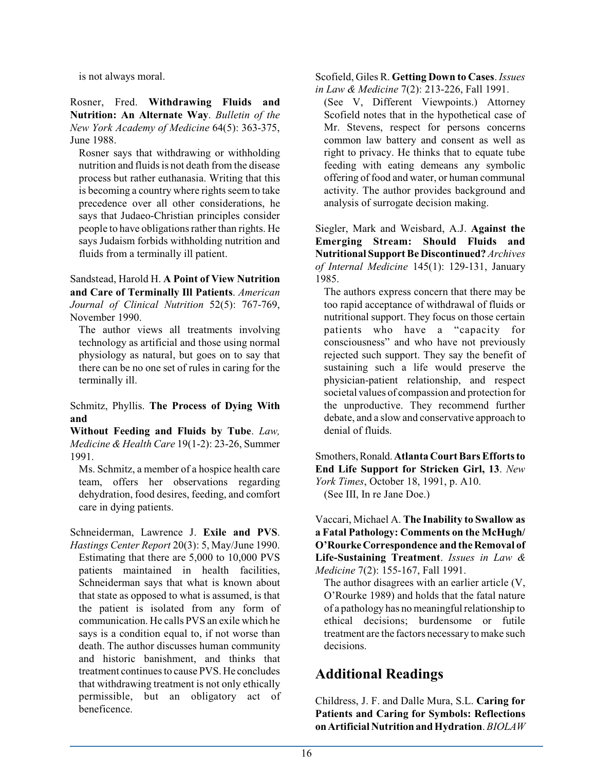is not always moral.

Rosner, Fred. **Withdrawing Fluids and Nutrition: An Alternate Way**. *Bulletin of the New York Academy of Medicine* 64(5): 363-375, June 1988.

Rosner says that withdrawing or withholding nutrition and fluids is not death from the disease process but rather euthanasia. Writing that this is becoming a country where rights seem to take precedence over all other considerations, he says that Judaeo-Christian principles consider people to have obligations rather than rights. He says Judaism forbids withholding nutrition and fluids from a terminally ill patient.

Sandstead, Harold H. **A Point of View Nutrition and Care of Terminally Ill Patients**. *American Journal of Clinical Nutrition* 52(5): 767-769, November 1990.

The author views all treatments involving technology as artificial and those using normal physiology as natural, but goes on to say that there can be no one set of rules in caring for the terminally ill.

Schmitz, Phyllis. **The Process of Dying With and**

**Without Feeding and Fluids by Tube**. *Law, Medicine & Health Care* 19(1-2): 23-26, Summer 1991.

Ms. Schmitz, a member of a hospice health care team, offers her observations regarding dehydration, food desires, feeding, and comfort care in dying patients.

Schneiderman, Lawrence J. **Exile and PVS**. *Hastings Center Report* 20(3): 5, May/June 1990.

Estimating that there are 5,000 to 10,000 PVS patients maintained in health facilities, Schneiderman says that what is known about that state as opposed to what is assumed, is that the patient is isolated from any form of communication. He calls PVS an exile which he says is a condition equal to, if not worse than death. The author discusses human community and historic banishment, and thinks that treatment continues to cause PVS. He concludes that withdrawing treatment is not only ethically permissible, but an obligatory act of beneficence.

Scofield, Giles R. **Getting Down to Cases**. *Issues in Law & Medicine* 7(2): 213-226, Fall 1991.

(See V, Different Viewpoints.) Attorney Scofield notes that in the hypothetical case of Mr. Stevens, respect for persons concerns common law battery and consent as well as right to privacy. He thinks that to equate tube feeding with eating demeans any symbolic offering of food and water, or human communal activity. The author provides background and analysis of surrogate decision making.

Siegler, Mark and Weisbard, A.J. **Against the Emerging Stream: Should Fluids and Nutritional SupportBe Discontinued?** *Archives of Internal Medicine* 145(1): 129-131, January 1985.

The authors express concern that there may be too rapid acceptance of withdrawal of fluids or nutritional support. They focus on those certain patients who have a "capacity for consciousness" and who have not previously rejected such support. They say the benefit of sustaining such a life would preserve the physician-patient relationship, and respect societal values of compassion and protection for the unproductive. They recommend further debate, and a slow and conservative approach to denial of fluids.

Smothers,Ronald.**Atlanta CourtBars Efforts to End Life Support for Stricken Girl, 13**. *New York Times*, October 18, 1991, p. A10. (See III, In re Jane Doe.)

Vaccari, Michael A. **The Inability to Swallow as a Fatal Pathology: Comments on the McHugh/ O'RourkeCorrespondence and the Removal of Life-Sustaining Treatment**. *Issues in Law & Medicine* 7(2): 155-167, Fall 1991.

The author disagrees with an earlier article (V, O'Rourke 1989) and holds that the fatal nature of a pathology has no meaningful relationship to ethical decisions; burdensome or futile treatment are the factors necessary to make such decisions.

## **Additional Readings**

Childress, J. F. and Dalle Mura, S.L. **Caring for Patients and Caring for Symbols: Reflections onArtificial Nutrition and Hydration**. *BIOLAW*